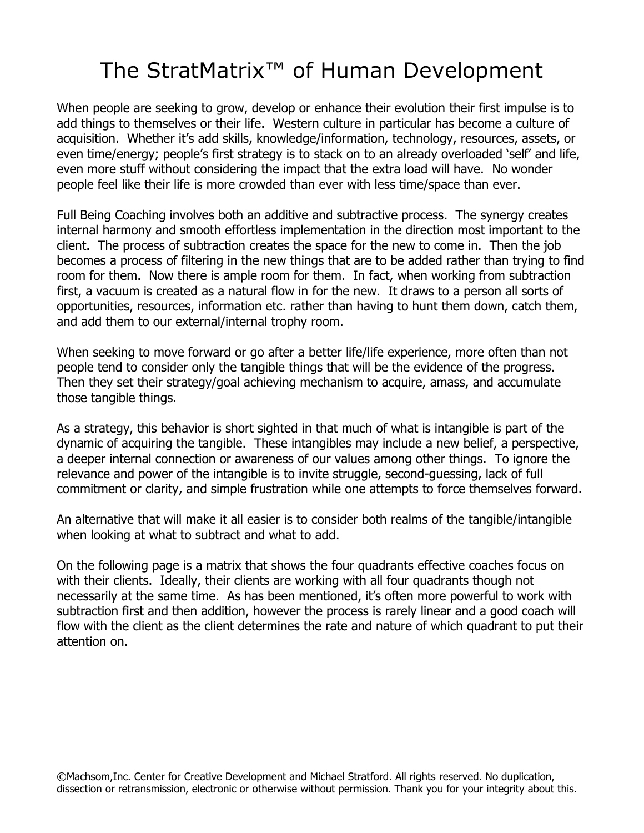## The StratMatrix™ of Human Development

When people are seeking to grow, develop or enhance their evolution their first impulse is to add things to themselves or their life. Western culture in particular has become a culture of acquisition. Whether it's add skills, knowledge/information, technology, resources, assets, or even time/energy; people's first strategy is to stack on to an already overloaded 'self' and life, even more stuff without considering the impact that the extra load will have. No wonder people feel like their life is more crowded than ever with less time/space than ever.

Full Being Coaching involves both an additive and subtractive process. The synergy creates internal harmony and smooth effortless implementation in the direction most important to the client. The process of subtraction creates the space for the new to come in. Then the job becomes a process of filtering in the new things that are to be added rather than trying to find room for them. Now there is ample room for them. In fact, when working from subtraction first, a vacuum is created as a natural flow in for the new. It draws to a person all sorts of opportunities, resources, information etc. rather than having to hunt them down, catch them, and add them to our external/internal trophy room.

When seeking to move forward or go after a better life/life experience, more often than not people tend to consider only the tangible things that will be the evidence of the progress. Then they set their strategy/goal achieving mechanism to acquire, amass, and accumulate those tangible things.

As a strategy, this behavior is short sighted in that much of what is intangible is part of the dynamic of acquiring the tangible. These intangibles may include a new belief, a perspective, a deeper internal connection or awareness of our values among other things. To ignore the relevance and power of the intangible is to invite struggle, second-guessing, lack of full commitment or clarity, and simple frustration while one attempts to force themselves forward.

An alternative that will make it all easier is to consider both realms of the tangible/intangible when looking at what to subtract and what to add.

On the following page is a matrix that shows the four quadrants effective coaches focus on with their clients. Ideally, their clients are working with all four quadrants though not necessarily at the same time. As has been mentioned, it's often more powerful to work with subtraction first and then addition, however the process is rarely linear and a good coach will flow with the client as the client determines the rate and nature of which quadrant to put their attention on.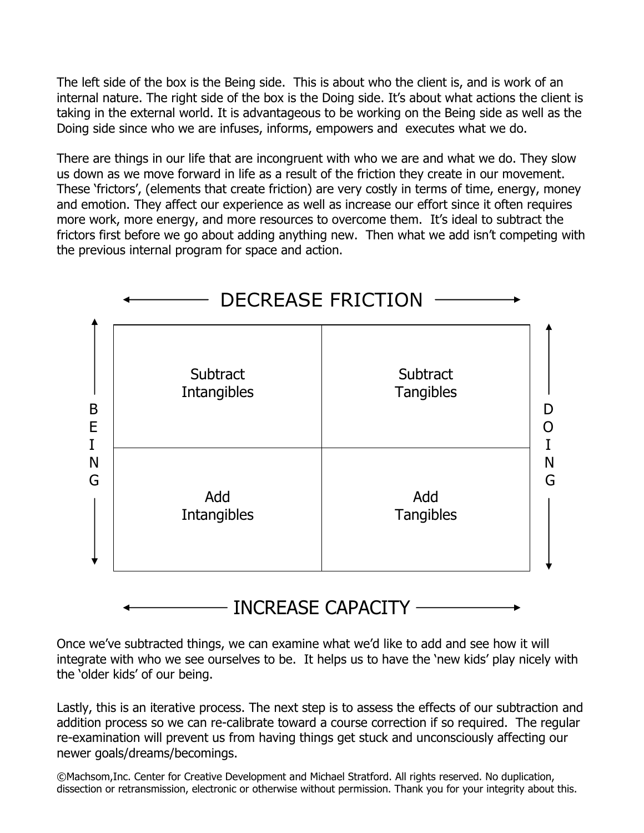The left side of the box is the Being side. This is about who the client is, and is work of an internal nature. The right side of the box is the Doing side. It's about what actions the client is taking in the external world. It is advantageous to be working on the Being side as well as the Doing side since who we are infuses, informs, empowers and executes what we do.

There are things in our life that are incongruent with who we are and what we do. They slow us down as we move forward in life as a result of the friction they create in our movement. These 'frictors', (elements that create friction) are very costly in terms of time, energy, money and emotion. They affect our experience as well as increase our effort since it often requires more work, more energy, and more resources to overcome them. It's ideal to subtract the frictors first before we go about adding anything new. Then what we add isn't competing with the previous internal program for space and action.



Once we've subtracted things, we can examine what we'd like to add and see how it will integrate with who we see ourselves to be. It helps us to have the 'new kids' play nicely with the 'older kids' of our being.

Lastly, this is an iterative process. The next step is to assess the effects of our subtraction and addition process so we can re-calibrate toward a course correction if so required. The regular re-examination will prevent us from having things get stuck and unconsciously affecting our newer goals/dreams/becomings.

©Machsom,Inc. Center for Creative Development and Michael Stratford. All rights reserved. No duplication, dissection or retransmission, electronic or otherwise without permission. Thank you for your integrity about this.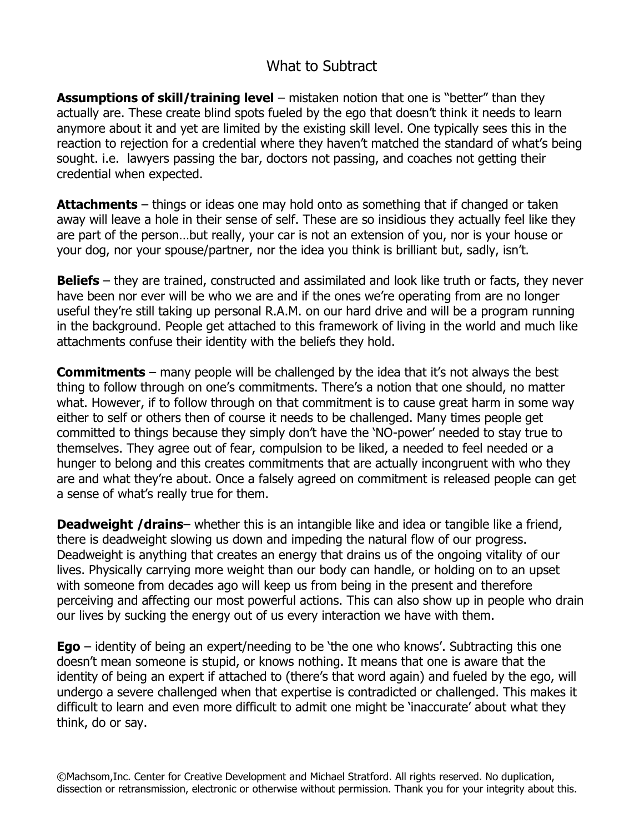## What to Subtract

**Assumptions of skill/training level** – mistaken notion that one is "better" than they actually are. These create blind spots fueled by the ego that doesn't think it needs to learn anymore about it and yet are limited by the existing skill level. One typically sees this in the reaction to rejection for a credential where they haven't matched the standard of what's being sought. i.e. lawyers passing the bar, doctors not passing, and coaches not getting their credential when expected.

**Attachments** – things or ideas one may hold onto as something that if changed or taken away will leave a hole in their sense of self. These are so insidious they actually feel like they are part of the person…but really, your car is not an extension of you, nor is your house or your dog, nor your spouse/partner, nor the idea you think is brilliant but, sadly, isn't.

**Beliefs** – they are trained, constructed and assimilated and look like truth or facts, they never have been nor ever will be who we are and if the ones we're operating from are no longer useful they're still taking up personal R.A.M. on our hard drive and will be a program running in the background. People get attached to this framework of living in the world and much like attachments confuse their identity with the beliefs they hold.

**Commitments** – many people will be challenged by the idea that it's not always the best thing to follow through on one's commitments. There's a notion that one should, no matter what. However, if to follow through on that commitment is to cause great harm in some way either to self or others then of course it needs to be challenged. Many times people get committed to things because they simply don't have the 'NO-power' needed to stay true to themselves. They agree out of fear, compulsion to be liked, a needed to feel needed or a hunger to belong and this creates commitments that are actually incongruent with who they are and what they're about. Once a falsely agreed on commitment is released people can get a sense of what's really true for them.

**Deadweight /drains**– whether this is an intangible like and idea or tangible like a friend, there is deadweight slowing us down and impeding the natural flow of our progress. Deadweight is anything that creates an energy that drains us of the ongoing vitality of our lives. Physically carrying more weight than our body can handle, or holding on to an upset with someone from decades ago will keep us from being in the present and therefore perceiving and affecting our most powerful actions. This can also show up in people who drain our lives by sucking the energy out of us every interaction we have with them.

**Ego** – identity of being an expert/needing to be 'the one who knows'. Subtracting this one doesn't mean someone is stupid, or knows nothing. It means that one is aware that the identity of being an expert if attached to (there's that word again) and fueled by the ego, will undergo a severe challenged when that expertise is contradicted or challenged. This makes it difficult to learn and even more difficult to admit one might be 'inaccurate' about what they think, do or say.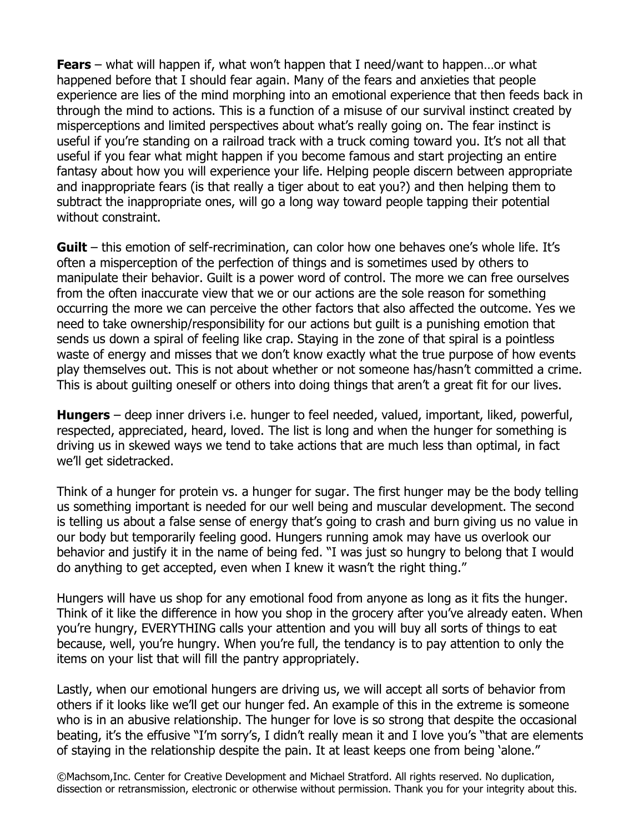**Fears** – what will happen if, what won't happen that I need/want to happen…or what happened before that I should fear again. Many of the fears and anxieties that people experience are lies of the mind morphing into an emotional experience that then feeds back in through the mind to actions. This is a function of a misuse of our survival instinct created by misperceptions and limited perspectives about what's really going on. The fear instinct is useful if you're standing on a railroad track with a truck coming toward you. It's not all that useful if you fear what might happen if you become famous and start projecting an entire fantasy about how you will experience your life. Helping people discern between appropriate and inappropriate fears (is that really a tiger about to eat you?) and then helping them to subtract the inappropriate ones, will go a long way toward people tapping their potential without constraint.

**Guilt** – this emotion of self-recrimination, can color how one behaves one's whole life. It's often a misperception of the perfection of things and is sometimes used by others to manipulate their behavior. Guilt is a power word of control. The more we can free ourselves from the often inaccurate view that we or our actions are the sole reason for something occurring the more we can perceive the other factors that also affected the outcome. Yes we need to take ownership/responsibility for our actions but guilt is a punishing emotion that sends us down a spiral of feeling like crap. Staying in the zone of that spiral is a pointless waste of energy and misses that we don't know exactly what the true purpose of how events play themselves out. This is not about whether or not someone has/hasn't committed a crime. This is about guilting oneself or others into doing things that aren't a great fit for our lives.

**Hungers** – deep inner drivers i.e. hunger to feel needed, valued, important, liked, powerful, respected, appreciated, heard, loved. The list is long and when the hunger for something is driving us in skewed ways we tend to take actions that are much less than optimal, in fact we'll get sidetracked.

Think of a hunger for protein vs. a hunger for sugar. The first hunger may be the body telling us something important is needed for our well being and muscular development. The second is telling us about a false sense of energy that's going to crash and burn giving us no value in our body but temporarily feeling good. Hungers running amok may have us overlook our behavior and justify it in the name of being fed. "I was just so hungry to belong that I would do anything to get accepted, even when I knew it wasn't the right thing."

Hungers will have us shop for any emotional food from anyone as long as it fits the hunger. Think of it like the difference in how you shop in the grocery after you've already eaten. When you're hungry, EVERYTHING calls your attention and you will buy all sorts of things to eat because, well, you're hungry. When you're full, the tendancy is to pay attention to only the items on your list that will fill the pantry appropriately.

Lastly, when our emotional hungers are driving us, we will accept all sorts of behavior from others if it looks like we'll get our hunger fed. An example of this in the extreme is someone who is in an abusive relationship. The hunger for love is so strong that despite the occasional beating, it's the effusive "I'm sorry's, I didn't really mean it and I love you's "that are elements of staying in the relationship despite the pain. It at least keeps one from being 'alone."

©Machsom,Inc. Center for Creative Development and Michael Stratford. All rights reserved. No duplication, dissection or retransmission, electronic or otherwise without permission. Thank you for your integrity about this.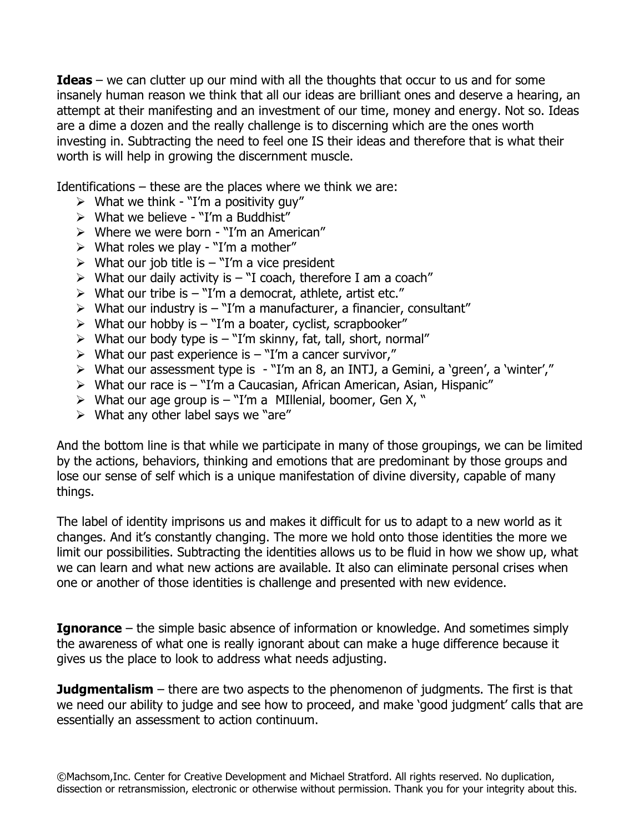**Ideas** – we can clutter up our mind with all the thoughts that occur to us and for some insanely human reason we think that all our ideas are brilliant ones and deserve a hearing, an attempt at their manifesting and an investment of our time, money and energy. Not so. Ideas are a dime a dozen and the really challenge is to discerning which are the ones worth investing in. Subtracting the need to feel one IS their ideas and therefore that is what their worth is will help in growing the discernment muscle.

Identifications – these are the places where we think we are:

- $\triangleright$  What we think "I'm a positivity guy"
- $\triangleright$  What we believe "I'm a Buddhist"
- $\triangleright$  Where we were born "I'm an American"
- > What roles we play "I'm a mother"
- $\triangleright$  What our job title is "I'm a vice president
- $\triangleright$  What our daily activity is  $-$  "I coach, therefore I am a coach"
- $\triangleright$  What our tribe is  $-$  "I'm a democrat, athlete, artist etc."
- $\triangleright$  What our industry is "I'm a manufacturer, a financier, consultant"
- $\triangleright$  What our hobby is "I'm a boater, cyclist, scrapbooker"
- $\triangleright$  What our body type is  $-$  "I'm skinny, fat, tall, short, normal"
- $\triangleright$  What our past experience is "I'm a cancer survivor,"
- What our assessment type is "I'm an 8, an INTJ, a Gemini, a 'green', a 'winter',"
- What our race is "I'm a Caucasian, African American, Asian, Hispanic"
- $\triangleright$  What our age group is "I'm a MIllenial, boomer, Gen X, "
- $\triangleright$  What any other label says we "are"

And the bottom line is that while we participate in many of those groupings, we can be limited by the actions, behaviors, thinking and emotions that are predominant by those groups and lose our sense of self which is a unique manifestation of divine diversity, capable of many things.

The label of identity imprisons us and makes it difficult for us to adapt to a new world as it changes. And it's constantly changing. The more we hold onto those identities the more we limit our possibilities. Subtracting the identities allows us to be fluid in how we show up, what we can learn and what new actions are available. It also can eliminate personal crises when one or another of those identities is challenge and presented with new evidence.

**Ignorance** – the simple basic absence of information or knowledge. And sometimes simply the awareness of what one is really ignorant about can make a huge difference because it gives us the place to look to address what needs adjusting.

**Judgmentalism** – there are two aspects to the phenomenon of judgments. The first is that we need our ability to judge and see how to proceed, and make 'good judgment' calls that are essentially an assessment to action continuum.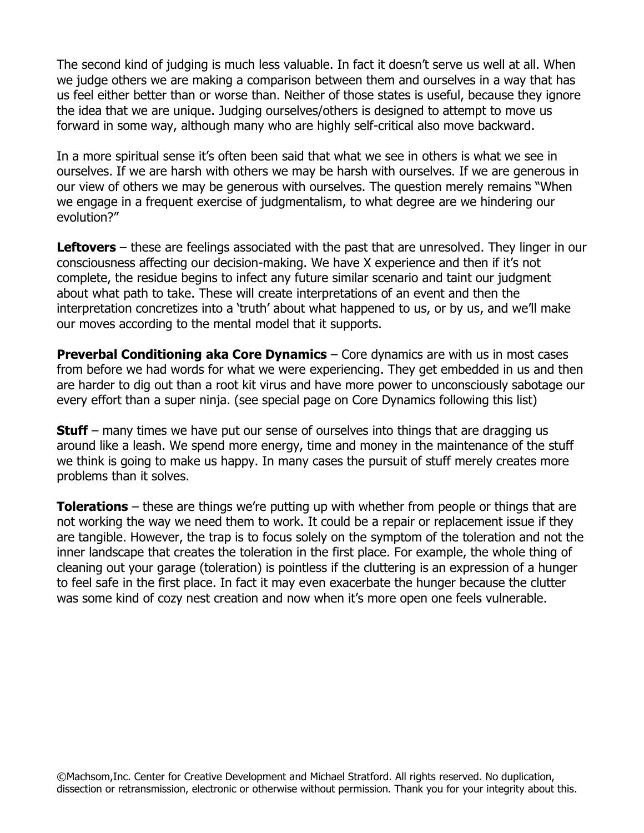The second kind of judging is much less valuable. In fact it doesn't serve us well at all. When we judge others we are making a comparison between them and ourselves in a way that has us feel either better than or worse than. Neither of those states is useful, because they ignore the idea that we are unique. Judging ourselves/others is designed to attempt to move us forward in some way, although many who are highly self-critical also move backward.

In a more spiritual sense it's often been said that what we see in others is what we see in ourselves. If we are harsh with others we may be harsh with ourselves. If we are generous in our view of others we may be generous with ourselves. The question merely remains "When we engage in a frequent exercise of judgmentalism, to what degree are we hindering our evolution?"

**Leftovers** – these are feelings associated with the past that are unresolved. They linger in our consciousness affecting our decision-making. We have X experience and then if it's not complete, the residue begins to infect any future similar scenario and taint our judgment about what path to take. These will create interpretations of an event and then the interpretation concretizes into a 'truth' about what happened to us, or by us, and we'll make our moves according to the mental model that it supports.

**Preverbal Conditioning aka Core Dynamics** – Core dynamics are with us in most cases from before we had words for what we were experiencing. They get embedded in us and then are harder to dig out than a root kit virus and have more power to unconsciously sabotage our every effort than a super ninja. (see special page on Core Dynamics following this list)

**Stuff** – many times we have put our sense of ourselves into things that are dragging us around like a leash. We spend more energy, time and money in the maintenance of the stuff we think is going to make us happy. In many cases the pursuit of stuff merely creates more problems than it solves.

**Tolerations** – these are things we're putting up with whether from people or things that are not working the way we need them to work. It could be a repair or replacement issue if they are tangible. However, the trap is to focus solely on the symptom of the toleration and not the inner landscape that creates the toleration in the first place. For example, the whole thing of cleaning out your garage (toleration) is pointless if the cluttering is an expression of a hunger to feel safe in the first place. In fact it may even exacerbate the hunger because the clutter was some kind of cozy nest creation and now when it's more open one feels vulnerable.